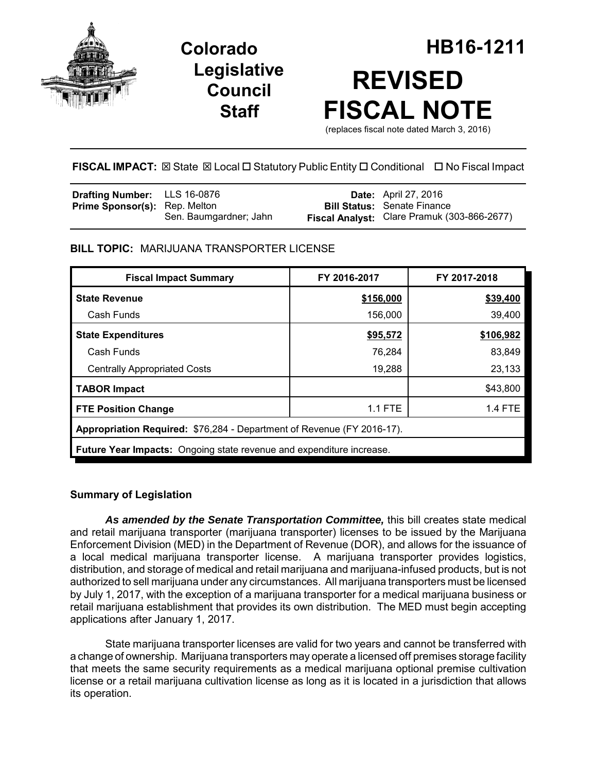

# **Legislative Council Staff**



(replaces fiscal note dated March 3, 2016)

**FISCAL IMPACT:** ⊠ State ⊠ Local □ Statutory Public Entity □ Conditional □ No Fiscal Impact

| <b>Drafting Number:</b> LLS 16-0876  |                        | <b>Date:</b> April 27, 2016                 |
|--------------------------------------|------------------------|---------------------------------------------|
| <b>Prime Sponsor(s): Rep. Melton</b> |                        | <b>Bill Status: Senate Finance</b>          |
|                                      | Sen. Baumgardner; Jahn | Fiscal Analyst: Clare Pramuk (303-866-2677) |

# **BILL TOPIC:** MARIJUANA TRANSPORTER LICENSE

| <b>Fiscal Impact Summary</b>                                                | FY 2016-2017 | FY 2017-2018   |  |  |  |
|-----------------------------------------------------------------------------|--------------|----------------|--|--|--|
| <b>State Revenue</b>                                                        | \$156,000    | \$39,400       |  |  |  |
| Cash Funds                                                                  | 156,000      | 39,400         |  |  |  |
| <b>State Expenditures</b>                                                   | \$95,572     | \$106,982      |  |  |  |
| Cash Funds                                                                  | 76,284       | 83,849         |  |  |  |
| <b>Centrally Appropriated Costs</b>                                         | 19,288       | 23,133         |  |  |  |
| <b>TABOR Impact</b>                                                         |              | \$43,800       |  |  |  |
| <b>FTE Position Change</b>                                                  | 1.1 FTE      | <b>1.4 FTE</b> |  |  |  |
| Appropriation Required: \$76,284 - Department of Revenue (FY 2016-17).      |              |                |  |  |  |
| <b>Future Year Impacts:</b> Ongoing state revenue and expenditure increase. |              |                |  |  |  |

# **Summary of Legislation**

*As amended by the Senate Transportation Committee,* this bill creates state medical and retail marijuana transporter (marijuana transporter) licenses to be issued by the Marijuana Enforcement Division (MED) in the Department of Revenue (DOR), and allows for the issuance of a local medical marijuana transporter license. A marijuana transporter provides logistics, distribution, and storage of medical and retail marijuana and marijuana-infused products, but is not authorized to sell marijuana under any circumstances. All marijuana transporters must be licensed by July 1, 2017, with the exception of a marijuana transporter for a medical marijuana business or retail marijuana establishment that provides its own distribution. The MED must begin accepting applications after January 1, 2017.

State marijuana transporter licenses are valid for two years and cannot be transferred with a change of ownership. Marijuana transporters may operate a licensed off premises storage facility that meets the same security requirements as a medical marijuana optional premise cultivation license or a retail marijuana cultivation license as long as it is located in a jurisdiction that allows its operation.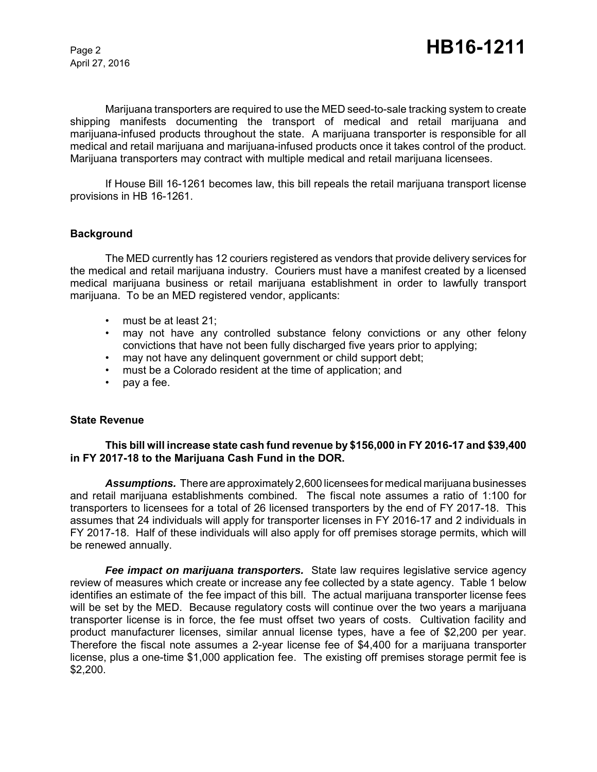April 27, 2016

Marijuana transporters are required to use the MED seed-to-sale tracking system to create shipping manifests documenting the transport of medical and retail marijuana and marijuana-infused products throughout the state. A marijuana transporter is responsible for all medical and retail marijuana and marijuana-infused products once it takes control of the product. Marijuana transporters may contract with multiple medical and retail marijuana licensees.

If House Bill 16-1261 becomes law, this bill repeals the retail marijuana transport license provisions in HB 16-1261.

## **Background**

The MED currently has 12 couriers registered as vendors that provide delivery services for the medical and retail marijuana industry. Couriers must have a manifest created by a licensed medical marijuana business or retail marijuana establishment in order to lawfully transport marijuana. To be an MED registered vendor, applicants:

- must be at least 21;
- may not have any controlled substance felony convictions or any other felony convictions that have not been fully discharged five years prior to applying;
- may not have any delinquent government or child support debt;
- must be a Colorado resident at the time of application; and
- pay a fee.

#### **State Revenue**

## **This bill will increase state cash fund revenue by \$156,000 in FY 2016-17 and \$39,400 in FY 2017-18 to the Marijuana Cash Fund in the DOR.**

*Assumptions.* There are approximately 2,600 licensees for medical marijuana businesses and retail marijuana establishments combined. The fiscal note assumes a ratio of 1:100 for transporters to licensees for a total of 26 licensed transporters by the end of FY 2017-18. This assumes that 24 individuals will apply for transporter licenses in FY 2016-17 and 2 individuals in FY 2017-18. Half of these individuals will also apply for off premises storage permits, which will be renewed annually.

*Fee impact on marijuana transporters.* State law requires legislative service agency review of measures which create or increase any fee collected by a state agency. Table 1 below identifies an estimate of the fee impact of this bill. The actual marijuana transporter license fees will be set by the MED. Because regulatory costs will continue over the two years a marijuana transporter license is in force, the fee must offset two years of costs. Cultivation facility and product manufacturer licenses, similar annual license types, have a fee of \$2,200 per year. Therefore the fiscal note assumes a 2-year license fee of \$4,400 for a marijuana transporter license, plus a one-time \$1,000 application fee. The existing off premises storage permit fee is \$2,200.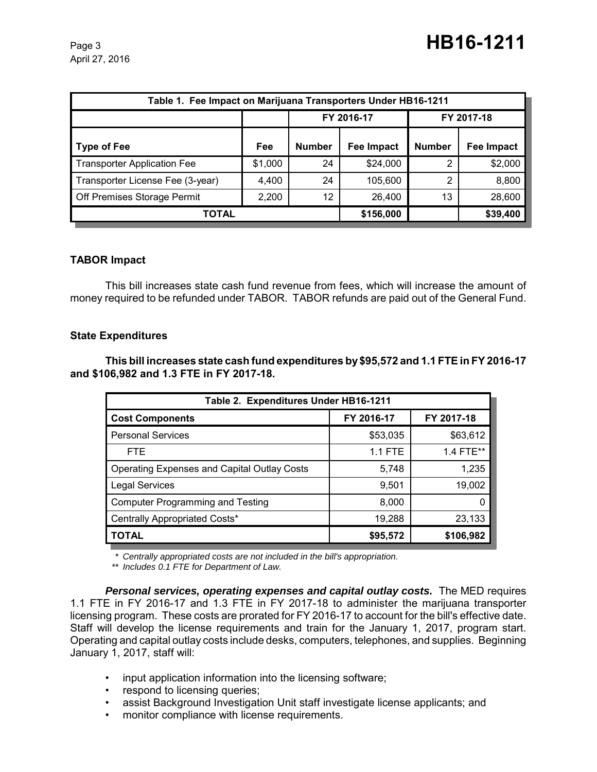| Table 1. Fee Impact on Marijuana Transporters Under HB16-1211 |         |               |                   |               |            |
|---------------------------------------------------------------|---------|---------------|-------------------|---------------|------------|
|                                                               |         | FY 2016-17    |                   | FY 2017-18    |            |
| Type of Fee                                                   | Fee     | <b>Number</b> | <b>Fee Impact</b> | <b>Number</b> | Fee Impact |
| <b>Transporter Application Fee</b>                            | \$1,000 | 24            | \$24,000          | 2             | \$2,000    |
| Transporter License Fee (3-year)                              | 4,400   | 24            | 105,600           | 2             | 8,800      |
| Off Premises Storage Permit                                   | 2,200   | 12            | 26,400            | 13            | 28,600     |
| <b>TOTAL</b>                                                  |         |               | \$156,000         |               | \$39,400   |

# **TABOR Impact**

This bill increases state cash fund revenue from fees, which will increase the amount of money required to be refunded under TABOR. TABOR refunds are paid out of the General Fund.

# **State Expenditures**

**This bill increases state cash fund expenditures by \$95,572 and 1.1 FTE in FY 2016-17 and \$106,982 and 1.3 FTE in FY 2017-18.** 

| Table 2. Expenditures Under HB16-1211              |                |            |  |  |  |
|----------------------------------------------------|----------------|------------|--|--|--|
| <b>Cost Components</b>                             | FY 2016-17     | FY 2017-18 |  |  |  |
| <b>Personal Services</b>                           | \$53,035       | \$63,612   |  |  |  |
| <b>FTE</b>                                         | <b>1.1 FTE</b> | 1.4 FTE**  |  |  |  |
| <b>Operating Expenses and Capital Outlay Costs</b> | 5,748          | 1,235      |  |  |  |
| <b>Legal Services</b>                              | 9,501          | 19,002     |  |  |  |
| <b>Computer Programming and Testing</b>            | 8,000          |            |  |  |  |
| Centrally Appropriated Costs*                      | 19,288         | 23,133     |  |  |  |
| <b>TOTAL</b>                                       | \$95,572       | \$106,982  |  |  |  |

*\* Centrally appropriated costs are not included in the bill's appropriation.*

*\*\* Includes 0.1 FTE for Department of Law.*

*Personal services, operating expenses and capital outlay costs.* The MED requires 1.1 FTE in FY 2016-17 and 1.3 FTE in FY 2017-18 to administer the marijuana transporter licensing program. These costs are prorated for FY 2016-17 to account for the bill's effective date. Staff will develop the license requirements and train for the January 1, 2017, program start. Operating and capital outlay costs include desks, computers, telephones, and supplies. Beginning January 1, 2017, staff will:

- input application information into the licensing software;
- respond to licensing queries;
- assist Background Investigation Unit staff investigate license applicants; and
- monitor compliance with license requirements.